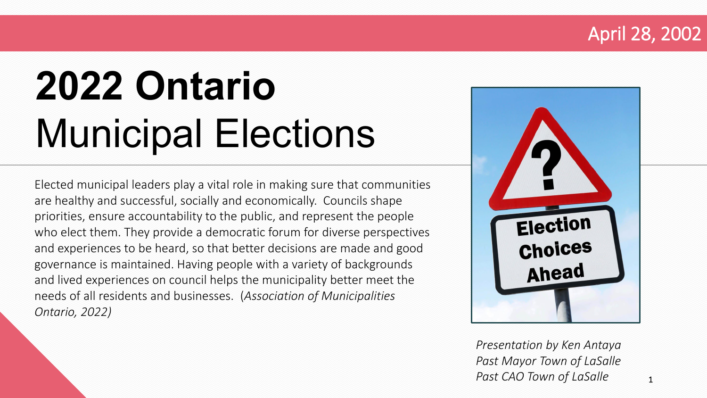#### April 28, 2002

# **2022 Ontario**  Municipal Elections

Elected municipal leaders play a vital role in making sure that communities are healthy and successful, socially and economically. Councils shape priorities, ensure accountability to the public, and represent the people who elect them. They provide a democratic forum for diverse perspectives and experiences to be heard, so that better decisions are made and good governance is maintained. Having people with a variety of backgrounds and lived experiences on council helps the municipality better meet the needs of all residents and businesses. (*Association of Municipalities Ontario, 2022)*



*Presentation by Ken Antaya Past Mayor Town of LaSalle Past CAO Town of LaSalle* 1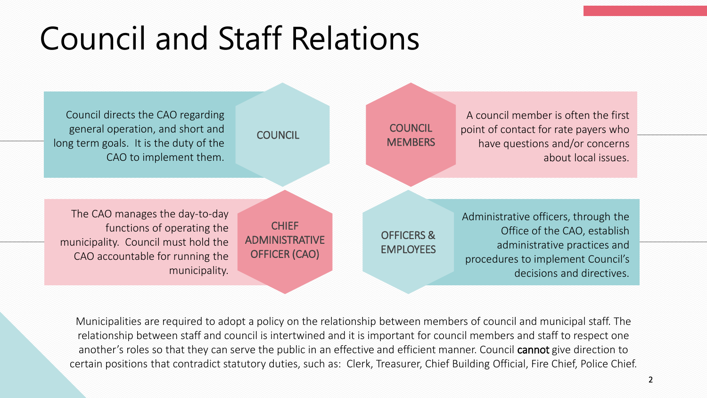### Council and Staff Relations



Municipalities are required to adopt a policy on the relationship between members of council and municipal staff. The relationship between staff and council is intertwined and it is important for council members and staff to respect one another's roles so that they can serve the public in an effective and efficient manner. Council cannot give direction to certain positions that contradict statutory duties, such as: Clerk, Treasurer, Chief Building Official, Fire Chief, Police Chief.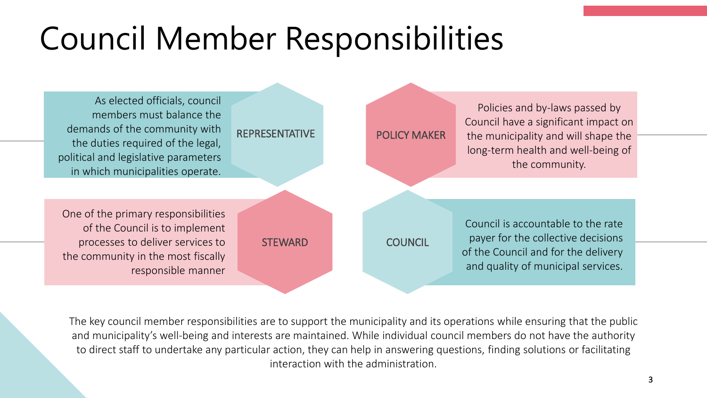## Council Member Responsibilities



The key council member responsibilities are to support the municipality and its operations while ensuring that the public and municipality's well-being and interests are maintained. While individual council members do not have the authority to direct staff to undertake any particular action, they can help in answering questions, finding solutions or facilitating interaction with the administration.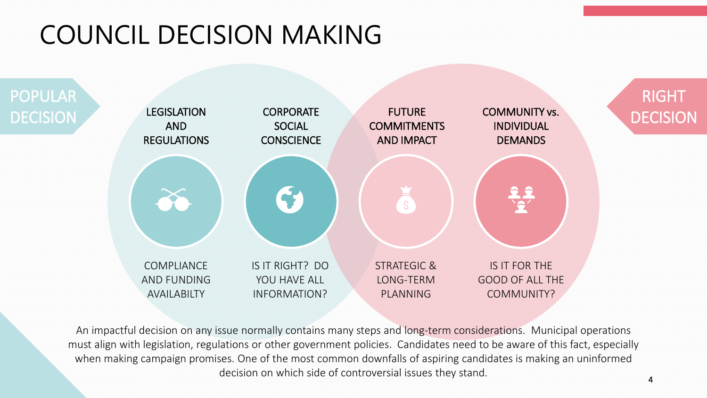### COUNCIL DECISION MAKING



An impactful decision on any issue normally contains many steps and long-term considerations. Municipal operations must align with legislation, regulations or other government policies. Candidates need to be aware of this fact, especially when making campaign promises. One of the most common downfalls of aspiring candidates is making an uninformed decision on which side of controversial issues they stand.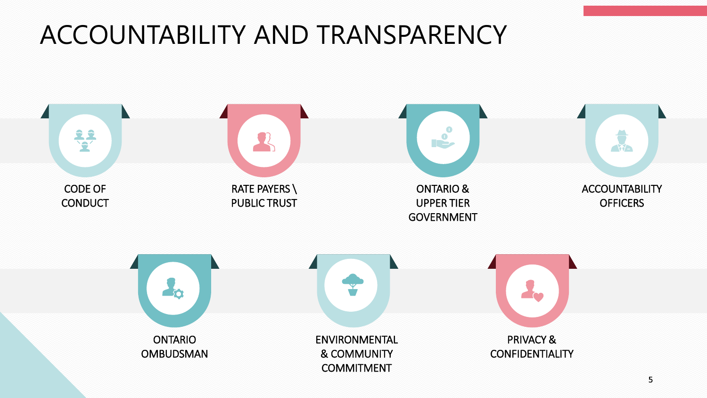#### ACCOUNTABILITY AND TRANSPARENCY

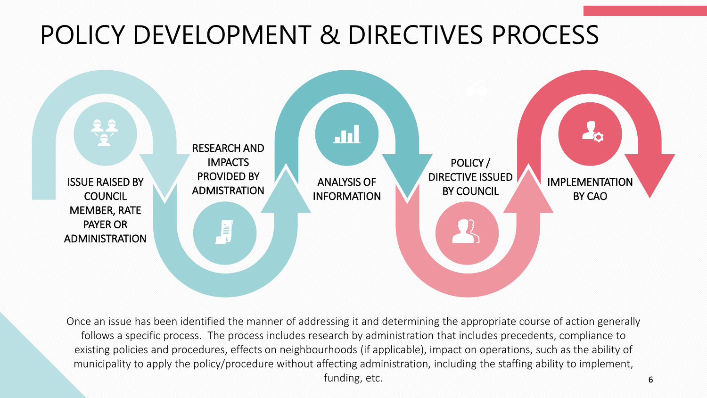#### POLICY DEVELOPMENT & DIRECTIVES PROCESS



Once an issue has been identified the manner of addressing it and determining the appropriate course of action generally follows a specific process. The process includes research by administration that includes precedents, compliance to existing policies and procedures, effects on neighbourhoods (if applicable), impact on operations, such as the ability of municipality to apply the policy/procedure without affecting administration, including the staffing ability to implement, funding, etc.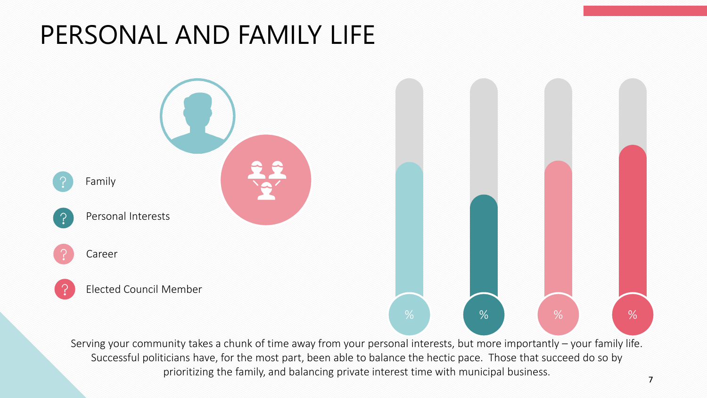#### PERSONAL AND FAMILY LIFE



Serving your community takes a chunk of time away from your personal interests, but more importantly – your family life. Successful politicians have, for the most part, been able to balance the hectic pace. Those that succeed do so by prioritizing the family, and balancing private interest time with municipal business.